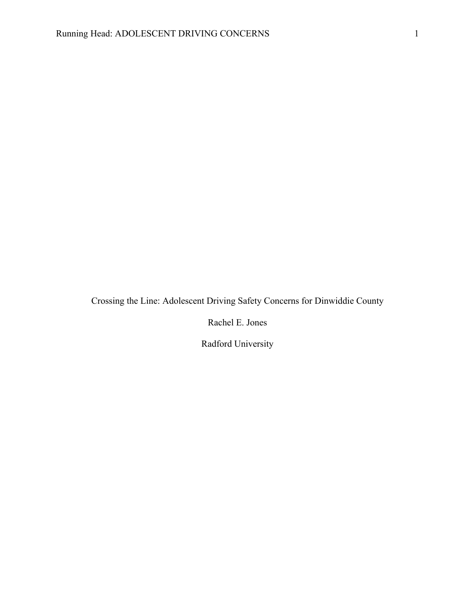Crossing the Line: Adolescent Driving Safety Concerns for Dinwiddie County

Rachel E. Jones

Radford University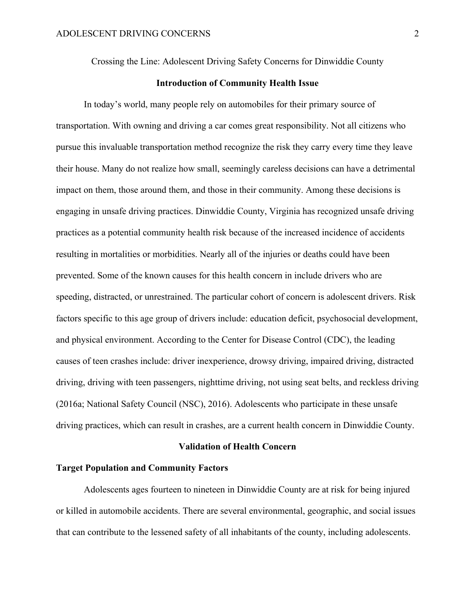Crossing the Line: Adolescent Driving Safety Concerns for Dinwiddie County

# **Introduction of Community Health Issue**

In today's world, many people rely on automobiles for their primary source of transportation. With owning and driving a car comes great responsibility. Not all citizens who pursue this invaluable transportation method recognize the risk they carry every time they leave their house. Many do not realize how small, seemingly careless decisions can have a detrimental impact on them, those around them, and those in their community. Among these decisions is engaging in unsafe driving practices. Dinwiddie County, Virginia has recognized unsafe driving practices as a potential community health risk because of the increased incidence of accidents resulting in mortalities or morbidities. Nearly all of the injuries or deaths could have been prevented. Some of the known causes for this health concern in include drivers who are speeding, distracted, or unrestrained. The particular cohort of concern is adolescent drivers. Risk factors specific to this age group of drivers include: education deficit, psychosocial development, and physical environment. According to the Center for Disease Control (CDC), the leading causes of teen crashes include: driver inexperience, drowsy driving, impaired driving, distracted driving, driving with teen passengers, nighttime driving, not using seat belts, and reckless driving (2016a; National Safety Council (NSC), 2016). Adolescents who participate in these unsafe driving practices, which can result in crashes, are a current health concern in Dinwiddie County.

## **Validation of Health Concern**

# **Target Population and Community Factors**

Adolescents ages fourteen to nineteen in Dinwiddie County are at risk for being injured or killed in automobile accidents. There are several environmental, geographic, and social issues that can contribute to the lessened safety of all inhabitants of the county, including adolescents.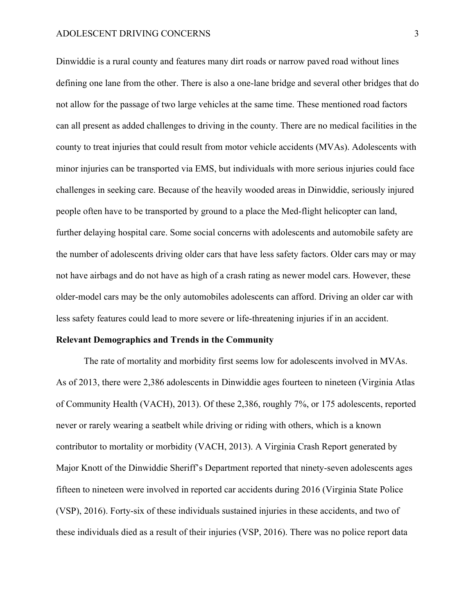Dinwiddie is a rural county and features many dirt roads or narrow paved road without lines defining one lane from the other. There is also a one-lane bridge and several other bridges that do not allow for the passage of two large vehicles at the same time. These mentioned road factors can all present as added challenges to driving in the county. There are no medical facilities in the county to treat injuries that could result from motor vehicle accidents (MVAs). Adolescents with minor injuries can be transported via EMS, but individuals with more serious injuries could face challenges in seeking care. Because of the heavily wooded areas in Dinwiddie, seriously injured people often have to be transported by ground to a place the Med-flight helicopter can land, further delaying hospital care. Some social concerns with adolescents and automobile safety are the number of adolescents driving older cars that have less safety factors. Older cars may or may not have airbags and do not have as high of a crash rating as newer model cars. However, these older-model cars may be the only automobiles adolescents can afford. Driving an older car with less safety features could lead to more severe or life-threatening injuries if in an accident.

#### **Relevant Demographics and Trends in the Community**

The rate of mortality and morbidity first seems low for adolescents involved in MVAs. As of 2013, there were 2,386 adolescents in Dinwiddie ages fourteen to nineteen (Virginia Atlas of Community Health (VACH), 2013). Of these 2,386, roughly 7%, or 175 adolescents, reported never or rarely wearing a seatbelt while driving or riding with others, which is a known contributor to mortality or morbidity (VACH, 2013). A Virginia Crash Report generated by Major Knott of the Dinwiddie Sheriff's Department reported that ninety-seven adolescents ages fifteen to nineteen were involved in reported car accidents during 2016 (Virginia State Police (VSP), 2016). Forty-six of these individuals sustained injuries in these accidents, and two of these individuals died as a result of their injuries (VSP, 2016). There was no police report data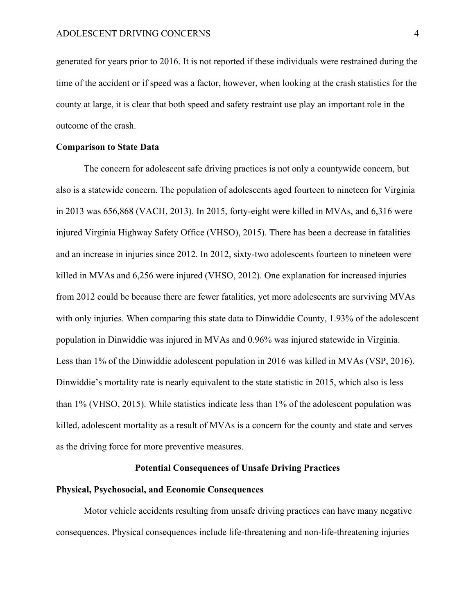generated for years prior to 2016. It is not reported if these individuals were restrained during the time of the accident or if speed was a factor, however, when looking at the crash statistics for the county at large, it is clear that both speed and safety restraint use play an important role in the outcome of the crash.

## **Comparison to State Data**

The concern for adolescent safe driving practices is not only a countywide concern, but also is a statewide concern. The population of adolescents aged fourteen to nineteen for Virginia in 2013 was 656,868 (VACH, 2013). In 2015, forty-eight were killed in MVAs, and 6,316 were injured Virginia Highway Safety Office (VHSO), 2015). There has been a decrease in fatalities and an increase in injuries since 2012. In 2012, sixty-two adolescents fourteen to nineteen were killed in MVAs and 6,256 were injured (VHSO, 2012). One explanation for increased injuries from 2012 could be because there are fewer fatalities, yet more adolescents are surviving MVAs with only injuries. When comparing this state data to Dinwiddie County, 1.93% of the adolescent population in Dinwiddie was injured in MVAs and 0.96% was injured statewide in Virginia. Less than 1% of the Dinwiddie adolescent population in 2016 was killed in MVAs (VSP, 2016). Dinwiddie's mortality rate is nearly equivalent to the state statistic in 2015, which also is less than 1% (VHSO, 2015). While statistics indicate less than 1% of the adolescent population was killed, adolescent mortality as a result of MVAs is a concern for the county and state and serves as the driving force for more preventive measures.

## **Potential Consequences of Unsafe Driving Practices**

#### **Physical, Psychosocial, and Economic Consequences**

Motor vehicle accidents resulting from unsafe driving practices can have many negative consequences. Physical consequences include life-threatening and non-life-threatening injuries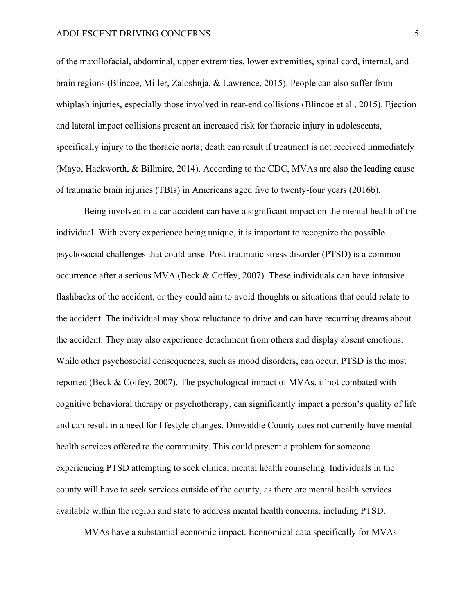of the maxillofacial, abdominal, upper extremities, lower extremities, spinal cord, internal, and brain regions (Blincoe, Miller, Zaloshnja, & Lawrence, 2015). People can also suffer from whiplash injuries, especially those involved in rear-end collisions (Blincoe et al., 2015). Ejection and lateral impact collisions present an increased risk for thoracic injury in adolescents, specifically injury to the thoracic aorta; death can result if treatment is not received immediately (Mayo, Hackworth, & Billmire, 2014). According to the CDC, MVAs are also the leading cause of traumatic brain injuries (TBIs) in Americans aged five to twenty-four years (2016b).

Being involved in a car accident can have a significant impact on the mental health of the individual. With every experience being unique, it is important to recognize the possible psychosocial challenges that could arise. Post-traumatic stress disorder (PTSD) is a common occurrence after a serious MVA (Beck & Coffey, 2007). These individuals can have intrusive flashbacks of the accident, or they could aim to avoid thoughts or situations that could relate to the accident. The individual may show reluctance to drive and can have recurring dreams about the accident. They may also experience detachment from others and display absent emotions. While other psychosocial consequences, such as mood disorders, can occur, PTSD is the most reported (Beck & Coffey, 2007). The psychological impact of MVAs, if not combated with cognitive behavioral therapy or psychotherapy, can significantly impact a person's quality of life and can result in a need for lifestyle changes. Dinwiddie County does not currently have mental health services offered to the community. This could present a problem for someone experiencing PTSD attempting to seek clinical mental health counseling. Individuals in the county will have to seek services outside of the county, as there are mental health services available within the region and state to address mental health concerns, including PTSD.

MVAs have a substantial economic impact. Economical data specifically for MVAs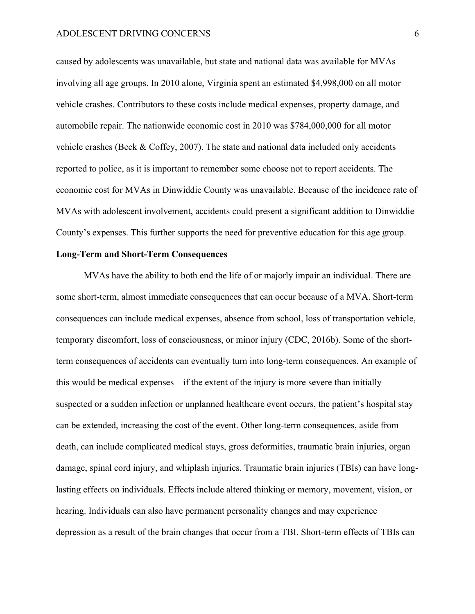caused by adolescents was unavailable, but state and national data was available for MVAs involving all age groups. In 2010 alone, Virginia spent an estimated \$4,998,000 on all motor vehicle crashes. Contributors to these costs include medical expenses, property damage, and automobile repair. The nationwide economic cost in 2010 was \$784,000,000 for all motor vehicle crashes (Beck & Coffey, 2007). The state and national data included only accidents reported to police, as it is important to remember some choose not to report accidents. The economic cost for MVAs in Dinwiddie County was unavailable. Because of the incidence rate of MVAs with adolescent involvement, accidents could present a significant addition to Dinwiddie County's expenses. This further supports the need for preventive education for this age group.

# **Long-Term and Short-Term Consequences**

MVAs have the ability to both end the life of or majorly impair an individual. There are some short-term, almost immediate consequences that can occur because of a MVA. Short-term consequences can include medical expenses, absence from school, loss of transportation vehicle, temporary discomfort, loss of consciousness, or minor injury (CDC, 2016b). Some of the shortterm consequences of accidents can eventually turn into long-term consequences. An example of this would be medical expenses—if the extent of the injury is more severe than initially suspected or a sudden infection or unplanned healthcare event occurs, the patient's hospital stay can be extended, increasing the cost of the event. Other long-term consequences, aside from death, can include complicated medical stays, gross deformities, traumatic brain injuries, organ damage, spinal cord injury, and whiplash injuries. Traumatic brain injuries (TBIs) can have longlasting effects on individuals. Effects include altered thinking or memory, movement, vision, or hearing. Individuals can also have permanent personality changes and may experience depression as a result of the brain changes that occur from a TBI. Short-term effects of TBIs can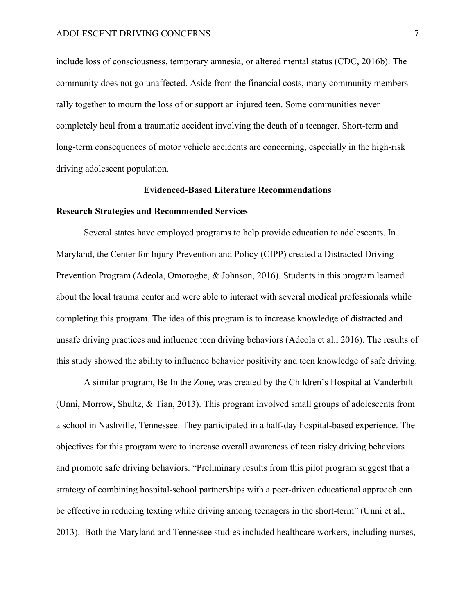include loss of consciousness, temporary amnesia, or altered mental status (CDC, 2016b). The community does not go unaffected. Aside from the financial costs, many community members rally together to mourn the loss of or support an injured teen. Some communities never completely heal from a traumatic accident involving the death of a teenager. Short-term and long-term consequences of motor vehicle accidents are concerning, especially in the high-risk driving adolescent population.

#### **Evidenced-Based Literature Recommendations**

## **Research Strategies and Recommended Services**

Several states have employed programs to help provide education to adolescents. In Maryland, the Center for Injury Prevention and Policy (CIPP) created a Distracted Driving Prevention Program (Adeola, Omorogbe, & Johnson, 2016). Students in this program learned about the local trauma center and were able to interact with several medical professionals while completing this program. The idea of this program is to increase knowledge of distracted and unsafe driving practices and influence teen driving behaviors (Adeola et al., 2016). The results of this study showed the ability to influence behavior positivity and teen knowledge of safe driving.

A similar program, Be In the Zone, was created by the Children's Hospital at Vanderbilt (Unni, Morrow, Shultz, & Tian, 2013). This program involved small groups of adolescents from a school in Nashville, Tennessee. They participated in a half-day hospital-based experience. The objectives for this program were to increase overall awareness of teen risky driving behaviors and promote safe driving behaviors. "Preliminary results from this pilot program suggest that a strategy of combining hospital-school partnerships with a peer-driven educational approach can be effective in reducing texting while driving among teenagers in the short-term" (Unni et al., 2013). Both the Maryland and Tennessee studies included healthcare workers, including nurses,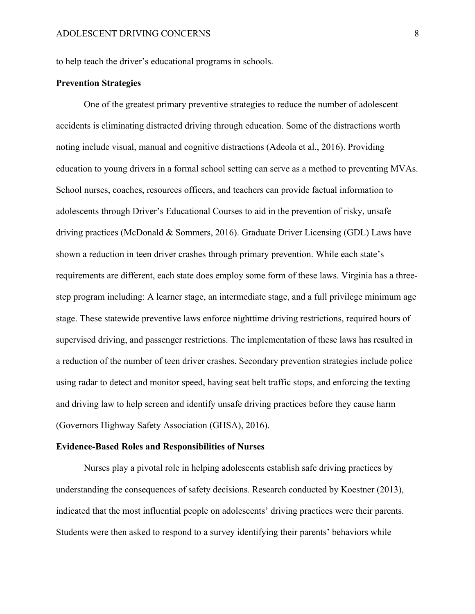to help teach the driver's educational programs in schools.

# **Prevention Strategies**

One of the greatest primary preventive strategies to reduce the number of adolescent accidents is eliminating distracted driving through education. Some of the distractions worth noting include visual, manual and cognitive distractions (Adeola et al., 2016). Providing education to young drivers in a formal school setting can serve as a method to preventing MVAs. School nurses, coaches, resources officers, and teachers can provide factual information to adolescents through Driver's Educational Courses to aid in the prevention of risky, unsafe driving practices (McDonald & Sommers, 2016). Graduate Driver Licensing (GDL) Laws have shown a reduction in teen driver crashes through primary prevention. While each state's requirements are different, each state does employ some form of these laws. Virginia has a threestep program including: A learner stage, an intermediate stage, and a full privilege minimum age stage. These statewide preventive laws enforce nighttime driving restrictions, required hours of supervised driving, and passenger restrictions. The implementation of these laws has resulted in a reduction of the number of teen driver crashes. Secondary prevention strategies include police using radar to detect and monitor speed, having seat belt traffic stops, and enforcing the texting and driving law to help screen and identify unsafe driving practices before they cause harm (Governors Highway Safety Association (GHSA), 2016).

#### **Evidence-Based Roles and Responsibilities of Nurses**

Nurses play a pivotal role in helping adolescents establish safe driving practices by understanding the consequences of safety decisions. Research conducted by Koestner (2013), indicated that the most influential people on adolescents' driving practices were their parents. Students were then asked to respond to a survey identifying their parents' behaviors while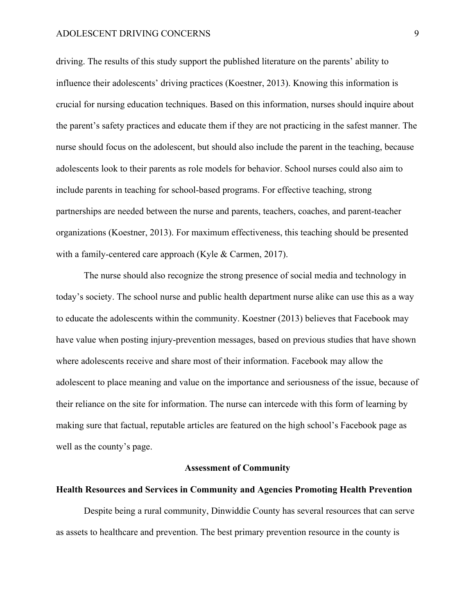driving. The results of this study support the published literature on the parents' ability to influence their adolescents' driving practices (Koestner, 2013). Knowing this information is crucial for nursing education techniques. Based on this information, nurses should inquire about the parent's safety practices and educate them if they are not practicing in the safest manner. The nurse should focus on the adolescent, but should also include the parent in the teaching, because adolescents look to their parents as role models for behavior. School nurses could also aim to include parents in teaching for school-based programs. For effective teaching, strong partnerships are needed between the nurse and parents, teachers, coaches, and parent-teacher organizations (Koestner, 2013). For maximum effectiveness, this teaching should be presented with a family-centered care approach (Kyle & Carmen, 2017).

The nurse should also recognize the strong presence of social media and technology in today's society. The school nurse and public health department nurse alike can use this as a way to educate the adolescents within the community. Koestner (2013) believes that Facebook may have value when posting injury-prevention messages, based on previous studies that have shown where adolescents receive and share most of their information. Facebook may allow the adolescent to place meaning and value on the importance and seriousness of the issue, because of their reliance on the site for information. The nurse can intercede with this form of learning by making sure that factual, reputable articles are featured on the high school's Facebook page as well as the county's page.

# **Assessment of Community**

## **Health Resources and Services in Community and Agencies Promoting Health Prevention**

Despite being a rural community, Dinwiddie County has several resources that can serve as assets to healthcare and prevention. The best primary prevention resource in the county is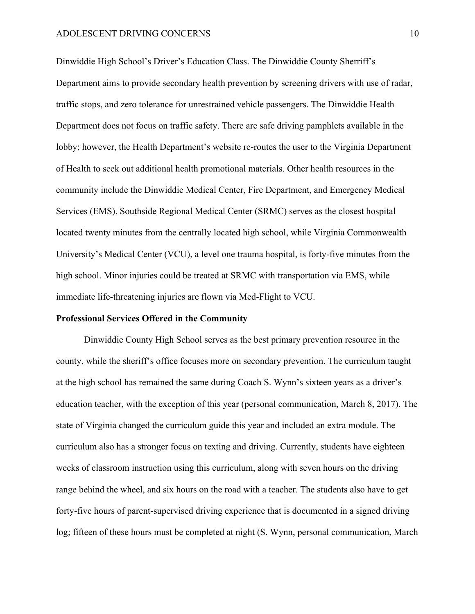Dinwiddie High School's Driver's Education Class. The Dinwiddie County Sherriff's Department aims to provide secondary health prevention by screening drivers with use of radar, traffic stops, and zero tolerance for unrestrained vehicle passengers. The Dinwiddie Health Department does not focus on traffic safety. There are safe driving pamphlets available in the lobby; however, the Health Department's website re-routes the user to the Virginia Department of Health to seek out additional health promotional materials. Other health resources in the community include the Dinwiddie Medical Center, Fire Department, and Emergency Medical Services (EMS). Southside Regional Medical Center (SRMC) serves as the closest hospital located twenty minutes from the centrally located high school, while Virginia Commonwealth University's Medical Center (VCU), a level one trauma hospital, is forty-five minutes from the high school. Minor injuries could be treated at SRMC with transportation via EMS, while immediate life-threatening injuries are flown via Med-Flight to VCU.

## **Professional Services Offered in the Community**

Dinwiddie County High School serves as the best primary prevention resource in the county, while the sheriff's office focuses more on secondary prevention. The curriculum taught at the high school has remained the same during Coach S. Wynn's sixteen years as a driver's education teacher, with the exception of this year (personal communication, March 8, 2017). The state of Virginia changed the curriculum guide this year and included an extra module. The curriculum also has a stronger focus on texting and driving. Currently, students have eighteen weeks of classroom instruction using this curriculum, along with seven hours on the driving range behind the wheel, and six hours on the road with a teacher. The students also have to get forty-five hours of parent-supervised driving experience that is documented in a signed driving log; fifteen of these hours must be completed at night (S. Wynn, personal communication, March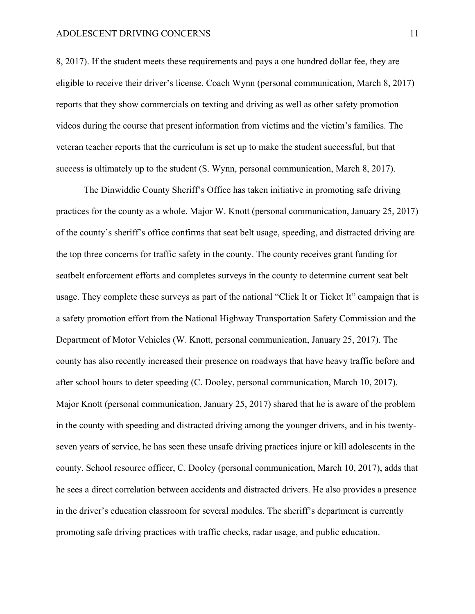8, 2017). If the student meets these requirements and pays a one hundred dollar fee, they are eligible to receive their driver's license. Coach Wynn (personal communication, March 8, 2017) reports that they show commercials on texting and driving as well as other safety promotion videos during the course that present information from victims and the victim's families. The veteran teacher reports that the curriculum is set up to make the student successful, but that success is ultimately up to the student (S. Wynn, personal communication, March 8, 2017).

The Dinwiddie County Sheriff's Office has taken initiative in promoting safe driving practices for the county as a whole. Major W. Knott (personal communication, January 25, 2017) of the county's sheriff's office confirms that seat belt usage, speeding, and distracted driving are the top three concerns for traffic safety in the county. The county receives grant funding for seatbelt enforcement efforts and completes surveys in the county to determine current seat belt usage. They complete these surveys as part of the national "Click It or Ticket It" campaign that is a safety promotion effort from the National Highway Transportation Safety Commission and the Department of Motor Vehicles (W. Knott, personal communication, January 25, 2017). The county has also recently increased their presence on roadways that have heavy traffic before and after school hours to deter speeding (C. Dooley, personal communication, March 10, 2017). Major Knott (personal communication, January 25, 2017) shared that he is aware of the problem in the county with speeding and distracted driving among the younger drivers, and in his twentyseven years of service, he has seen these unsafe driving practices injure or kill adolescents in the county. School resource officer, C. Dooley (personal communication, March 10, 2017), adds that he sees a direct correlation between accidents and distracted drivers. He also provides a presence in the driver's education classroom for several modules. The sheriff's department is currently promoting safe driving practices with traffic checks, radar usage, and public education.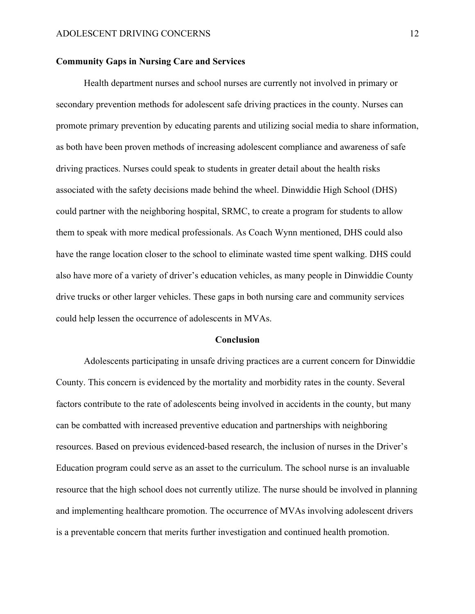## **Community Gaps in Nursing Care and Services**

Health department nurses and school nurses are currently not involved in primary or secondary prevention methods for adolescent safe driving practices in the county. Nurses can promote primary prevention by educating parents and utilizing social media to share information, as both have been proven methods of increasing adolescent compliance and awareness of safe driving practices. Nurses could speak to students in greater detail about the health risks associated with the safety decisions made behind the wheel. Dinwiddie High School (DHS) could partner with the neighboring hospital, SRMC, to create a program for students to allow them to speak with more medical professionals. As Coach Wynn mentioned, DHS could also have the range location closer to the school to eliminate wasted time spent walking. DHS could also have more of a variety of driver's education vehicles, as many people in Dinwiddie County drive trucks or other larger vehicles. These gaps in both nursing care and community services could help lessen the occurrence of adolescents in MVAs.

#### **Conclusion**

Adolescents participating in unsafe driving practices are a current concern for Dinwiddie County. This concern is evidenced by the mortality and morbidity rates in the county. Several factors contribute to the rate of adolescents being involved in accidents in the county, but many can be combatted with increased preventive education and partnerships with neighboring resources. Based on previous evidenced-based research, the inclusion of nurses in the Driver's Education program could serve as an asset to the curriculum. The school nurse is an invaluable resource that the high school does not currently utilize. The nurse should be involved in planning and implementing healthcare promotion. The occurrence of MVAs involving adolescent drivers is a preventable concern that merits further investigation and continued health promotion.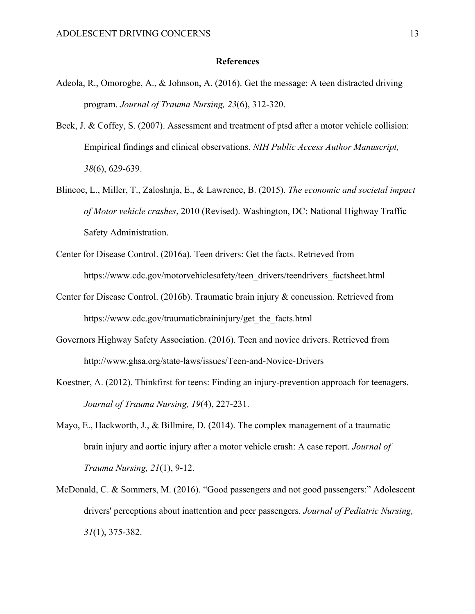### **References**

- Adeola, R., Omorogbe, A., & Johnson, A. (2016). Get the message: A teen distracted driving program. *Journal of Trauma Nursing, 23*(6), 312-320.
- Beck, J. & Coffey, S. (2007). Assessment and treatment of ptsd after a motor vehicle collision: Empirical findings and clinical observations. *NIH Public Access Author Manuscript, 38*(6), 629-639.
- Blincoe, L., Miller, T., Zaloshnja, E., & Lawrence, B. (2015). *The economic and societal impact of Motor vehicle crashes*, 2010 (Revised). Washington, DC: National Highway Traffic Safety Administration.
- Center for Disease Control. (2016a). Teen drivers: Get the facts. Retrieved from https://www.cdc.gov/motorvehiclesafety/teen\_drivers/teendrivers\_factsheet.html
- Center for Disease Control. (2016b). Traumatic brain injury & concussion. Retrieved from https://www.cdc.gov/traumaticbraininjury/get\_the\_facts.html
- Governors Highway Safety Association. (2016). Teen and novice drivers. Retrieved from http://www.ghsa.org/state-laws/issues/Teen-and-Novice-Drivers
- Koestner, A. (2012). Thinkfirst for teens: Finding an injury-prevention approach for teenagers. *Journal of Trauma Nursing, 19*(4), 227-231.
- Mayo, E., Hackworth, J., & Billmire, D. (2014). The complex management of a traumatic brain injury and aortic injury after a motor vehicle crash: A case report. *Journal of Trauma Nursing, 21*(1), 9-12.
- McDonald, C. & Sommers, M. (2016). "Good passengers and not good passengers:" Adolescent drivers' perceptions about inattention and peer passengers. *Journal of Pediatric Nursing, 31*(1), 375-382.